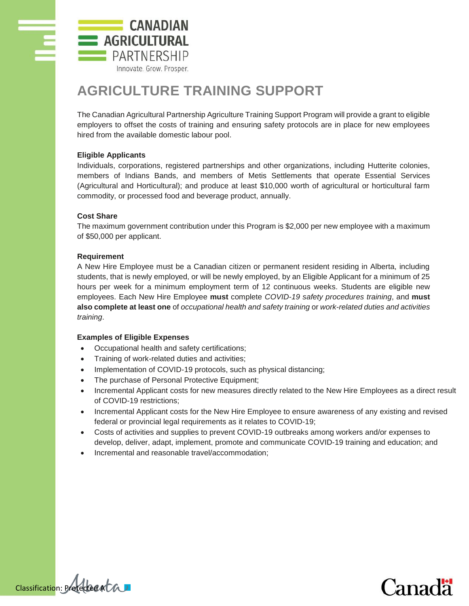

# **AGRICULTURE TRAINING SUPPORT**

The Canadian Agricultural Partnership Agriculture Training Support Program will provide a grant to eligible employers to offset the costs of training and ensuring safety protocols are in place for new employees hired from the available domestic labour pool.

### **Eligible Applicants**

Individuals, corporations, registered partnerships and other organizations, including Hutterite colonies, members of Indians Bands, and members of Metis Settlements that operate Essential Services (Agricultural and Horticultural); and produce at least \$10,000 worth of agricultural or horticultural farm commodity, or processed food and beverage product, annually.

### **Cost Share**

The maximum government contribution under this Program is \$2,000 per new employee with a maximum of \$50,000 per applicant.

### **Requirement**

A New Hire Employee must be a Canadian citizen or permanent resident residing in Alberta, including students, that is newly employed, or will be newly employed, by an Eligible Applicant for a minimum of 25 hours per week for a minimum employment term of 12 continuous weeks. Students are eligible new employees. Each New Hire Employee **must** complete *COVID-19 safety procedures training*, and **must also complete at least one** of *occupational health and safety training* or *work-related duties and activities training*.

#### **Examples of Eligible Expenses**

- Occupational health and safety certifications;
- Training of work-related duties and activities;
- Implementation of COVID-19 protocols, such as physical distancing;
- The purchase of Personal Protective Equipment;
- Incremental Applicant costs for new measures directly related to the New Hire Employees as a direct result of COVID-19 restrictions;
- Incremental Applicant costs for the New Hire Employee to ensure awareness of any existing and revised federal or provincial legal requirements as it relates to COVID-19;
- Costs of activities and supplies to prevent COVID-19 outbreaks among workers and/or expenses to develop, deliver, adapt, implement, promote and communicate COVID-19 training and education; and
- Incremental and reasonable travel/accommodation;